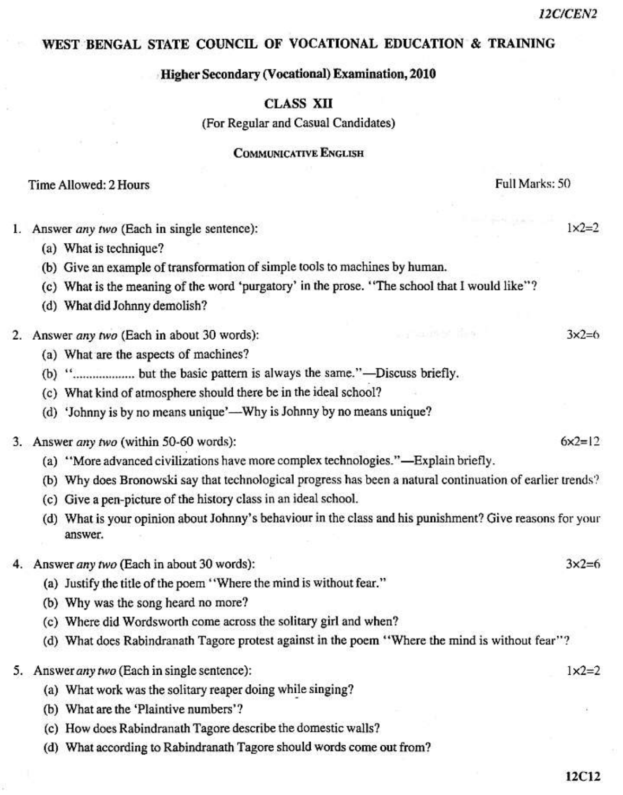$1x2=2$ 

 $3x2=6$ 

 $6x^2=12$ 

 $3x2=6$ 

 $1x2=2$ 

# WEST BENGAL STATE COUNCIL OF VOCATIONAL EDUCATION & TRAINING

### Higher Secondary (Vocational) Examination, 2010

# **CLASS XII**

(For Regular and Casual Candidates)

### **COMMUNICATIVE ENGLISH**

### Time Allowed: 2 Hours

Full Marks: 50

- 1. Answer any two (Each in single sentence):
	- (a) What is technique?
	- (b) Give an example of transformation of simple tools to machines by human.
	- (c) What is the meaning of the word 'purgatory' in the prose. "The school that I would like"?
	- (d) What did Johnny demolish?
- 2. Answer any two (Each in about 30 words):
	- (a) What are the aspects of machines?
	-
	- (c) What kind of atmosphere should there be in the ideal school?
	- (d) 'Johnny is by no means unique'—Why is Johnny by no means unique?
- 3. Answer any two (within 50-60 words):
	- (a) "More advanced civilizations have more complex technologies."—Explain briefly.
	- (b) Why does Bronowski say that technological progress has been a natural continuation of earlier trends?
	- (c) Give a pen-picture of the history class in an ideal school.
	- (d) What is your opinion about Johnny's behaviour in the class and his punishment? Give reasons for your answer.
- 4. Answer any two (Each in about 30 words):
	- (a) Justify the title of the poem "Where the mind is without fear."
	- (b) Why was the song heard no more?
	- (c) Where did Wordsworth come across the solitary girl and when?
	- (d) What does Rabindranath Tagore protest against in the poem "Where the mind is without fear"?
	- 5. Answer any two (Each in single sentence):
		- (a) What work was the solitary reaper doing while singing?
		- (b) What are the 'Plaintive numbers'?
		- (c) How does Rabindranath Tagore describe the domestic walls?
		- (d) What according to Rabindranath Tagore should words come out from?